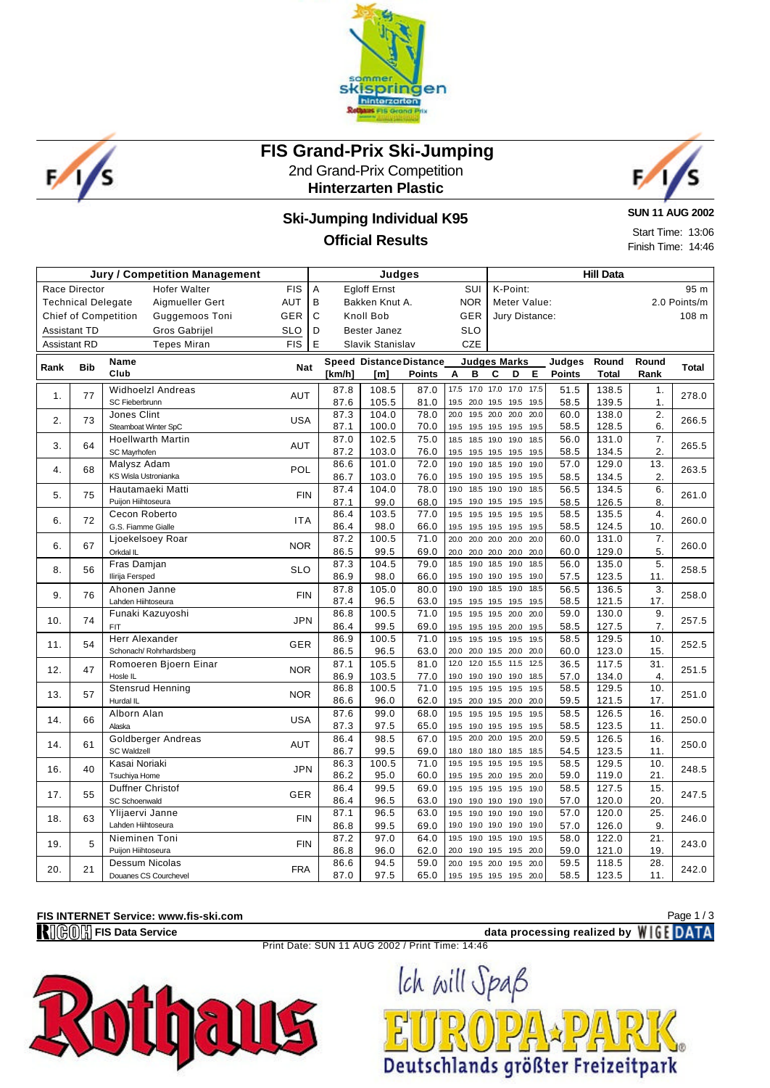



## **FIS Grand-Prix Ski-Jumping**

2nd Grand-Prix Competition **Hinterzarten Plastic**



### **Ski-Jumping Individual K95 Official Results**

**SUN 11 AUG 2002**

Start Time: 13:06 Finish Time: 14:46

| <b>Jury / Competition Management</b>                      |            |                                               |            |                                                | Judges              |                                |                                        | <b>Hill Data</b>                                |               |                |                         |              |  |  |
|-----------------------------------------------------------|------------|-----------------------------------------------|------------|------------------------------------------------|---------------------|--------------------------------|----------------------------------------|-------------------------------------------------|---------------|----------------|-------------------------|--------------|--|--|
| <b>FIS</b><br><b>Race Director</b><br><b>Hofer Walter</b> |            |                                               | A          | <b>Egloff Ernst</b>                            |                     | SUI                            | K-Point:<br>95 m                       |                                                 |               |                |                         |              |  |  |
| AUT<br>Aigmueller Gert<br><b>Technical Delegate</b>       |            | <b>NOR</b><br>B<br>Bakken Knut A.             |            |                                                |                     | 2.0 Points/m<br>Meter Value:   |                                        |                                                 |               |                |                         |              |  |  |
|                                                           |            | <b>Chief of Competition</b><br>Guggemoos Toni | GER        | C<br>Knoll Bob<br><b>GER</b><br>Jury Distance: |                     |                                |                                        |                                                 |               |                |                         | 108 m        |  |  |
| <b>Assistant TD</b>                                       |            | Gros Gabrijel                                 | SLO        | D                                              | <b>Bester Janez</b> |                                | <b>SLO</b>                             |                                                 |               |                |                         |              |  |  |
| <b>Assistant RD</b>                                       |            | <b>Tepes Miran</b>                            | <b>FIS</b> | E                                              | Slavik Stanislav    |                                | <b>CZE</b>                             |                                                 |               |                |                         |              |  |  |
|                                                           |            | Name                                          |            |                                                |                     | <b>Speed Distance Distance</b> |                                        | <b>Judges Marks</b>                             | Judges        | Round          | Round                   |              |  |  |
| Rank                                                      | <b>Bib</b> | Club                                          | <b>Nat</b> | [km/h]                                         | [m]                 | <b>Points</b>                  | в<br>Α                                 | С<br>D<br>E.                                    | <b>Points</b> | <b>Total</b>   | Rank                    | <b>Total</b> |  |  |
| 1.                                                        | 77         | <b>Widhoelzl Andreas</b>                      | <b>AUT</b> | 87.8                                           | 108.5               | 87.0                           | 17.5 17.0 17.0                         | 17.0 17.5                                       | 51.5          | 138.5          | 1.                      | 278.0        |  |  |
|                                                           |            | SC Fieberbrunn                                |            | 87.6                                           | 105.5               | 81.0                           | 20.0 19.5<br>19.5                      | 19.5 19.5                                       | 58.5          | 139.5          | 1.                      |              |  |  |
| 2.                                                        | 73         | Jones Clint                                   | <b>USA</b> | 87.3                                           | 104.0               | 78.0                           | 20.0<br>19.5 20.0                      | 20.0 20.0                                       | 60.0          | 138.0          | $\overline{2}$ .        | 266.5        |  |  |
|                                                           |            | Steamboat Winter SpC                          |            | 87.1                                           | 100.0               | 70.0                           | 19.5<br>19.5 19.5                      | 19.5 19.5                                       | 58.5          | 128.5          | 6.                      |              |  |  |
| 3.                                                        | 64         | <b>Hoellwarth Martin</b>                      | <b>AUT</b> | 87.0                                           | 102.5               | 75.0                           | 18.5 18.5 19.0                         | 19.0 18.5                                       | 56.0          | 131.0          | $\overline{7}$ .        | 265.5        |  |  |
|                                                           |            | SC Mayrhofen                                  |            | 87.2                                           | 103.0               | 76.0                           | 19.5<br>19.5 19.5                      | 19.5 19.5                                       | 58.5          | 134.5          | 2.                      |              |  |  |
| 4.                                                        | 68         | Malysz Adam                                   | POL        | 86.6                                           | 101.0               | 72.0                           | 19.0<br>19.0 18.5                      | 19.0 19.0                                       | 57.0          | 129.0          | 13.                     | 263.5        |  |  |
|                                                           |            | KS Wisla Ustronianka                          |            | 86.7                                           | 103.0               | 76.0                           | 19.5<br>19.0 19.5                      | 19.5 19.5<br>19.0 18.5                          | 58.5          | 134.5          | 2.                      |              |  |  |
| 5.                                                        | 75         | Hautamaeki Matti<br>Puijon Hiihtoseura        | <b>FIN</b> | 87.4<br>87.1                                   | 104.0<br>99.0       | 78.0<br>68.0                   | 19.0<br>18.5 19.0<br>19.5<br>19.0 19.5 | 19.5 19.5                                       | 56.5<br>58.5  | 134.5<br>126.5 | 6.<br>8.                | 261.0        |  |  |
|                                                           |            | Cecon Roberto                                 |            | 86.4                                           | 103.5               | 77.0                           | 19.5<br>19.5 19.5                      | 19.5 19.5                                       | 58.5          | 135.5          | 4.                      |              |  |  |
| 6.                                                        | 72         | G.S. Fiamme Gialle                            | <b>ITA</b> | 86.4                                           | 98.0                | 66.0                           | 19.5 19.5 19.5                         | 19.5 19.5                                       | 58.5          | 124.5          | 10.                     | 260.0        |  |  |
|                                                           |            | Ljoekelsoey Roar                              |            | 87.2                                           | 100.5               | 71.0                           | 20.0<br>20.0 20.0                      | 20.0 20.0                                       | 60.0          | 131.0          | 7.                      |              |  |  |
| 6.                                                        | 67         | Orkdal IL                                     | <b>NOR</b> | 86.5                                           | 99.5                | 69.0                           | 20.0 20.0 20.0                         | 20.0 20.0                                       | 60.0          | 129.0          | 5.                      | 260.0        |  |  |
|                                                           |            | Fras Damjan                                   |            | 87.3                                           | 104.5               | 79.0                           | 19.0 18.5<br>18.5                      | 19.0 18.5                                       | 56.0          | 135.0          | 5.                      |              |  |  |
| 8.                                                        | 56         | Ilirija Fersped                               | <b>SLO</b> | 86.9                                           | 98.0                | 66.0                           | 19.0 19.0<br>19.5                      | 19.5 19.0                                       | 57.5          | 123.5          | 11.                     | 258.5        |  |  |
| 9.                                                        | 76         | Ahonen Janne                                  | <b>FIN</b> | 87.8                                           | 105.0               | 80.0                           | 19.0<br>19.0                           | 19.0<br>18.5<br>18.5                            | 56.5          | 136.5          | 3.                      | 258.0        |  |  |
|                                                           |            | Lahden Hiihtoseura                            |            | 87.4                                           | 96.5                | 63.0                           | 19.5                                   | 19.5 19.5 19.5 19.5                             | 58.5          | 121.5          | 17.                     |              |  |  |
| 10.                                                       | 74         | Funaki Kazuyoshi                              | <b>JPN</b> | 86.8                                           | 100.5               | 71.0                           | 19.5                                   | 19.5 19.5 20.0 20.0                             | 59.0          | 130.0          | 9.                      | 257.5        |  |  |
|                                                           |            | <b>FIT</b>                                    |            | 86.4                                           | 99.5                | 69.0                           |                                        | 19.5 19.5 19.5 20.0 19.5                        | 58.5          | 127.5          | 7.                      |              |  |  |
| 11.                                                       | 54         | Herr Alexander                                | <b>GER</b> | 86.9                                           | 100.5               | 71.0                           | 19.5                                   | 19.5 19.5 19.5 19.5                             | 58.5          | 129.5          | 10.                     | 252.5        |  |  |
|                                                           |            | Schonach/Rohrhardsberg                        |            | 86.5                                           | 96.5                | 63.0                           | 12.0                                   | 20.0 20.0 19.5 20.0 20.0<br>12.0 15.5 11.5 12.5 | 60.0          | 123.0          | 15.                     |              |  |  |
| 12.                                                       | 47         | Romoeren Bjoern Einar<br>Hosle IL             | <b>NOR</b> | 87.1<br>86.9                                   | 105.5<br>103.5      | 81.0<br>77.0                   | 19.0                                   | 19.0 19.0 19.0 18.5                             | 36.5<br>57.0  | 117.5<br>134.0 | 31.<br>$\overline{4}$ . | 251.5        |  |  |
|                                                           |            | Stensrud Henning                              |            | 86.8                                           | 100.5               | 71.0                           | 19.5<br>19.5 19.5                      | 19.5 19.5                                       | 58.5          | 129.5          | 10.                     |              |  |  |
| 13.                                                       | 57         | Hurdal IL                                     | <b>NOR</b> | 86.6                                           | 96.0                | 62.0                           |                                        | 19.5 20.0 19.5 20.0 20.0                        | 59.5          | 121.5          | 17.                     | 251.0        |  |  |
|                                                           |            | Alborn Alan                                   |            | 87.6                                           | 99.0                | 68.0                           |                                        | 19.5 19.5 19.5 19.5 19.5                        | 58.5          | 126.5          | 16.                     |              |  |  |
| 14.                                                       | 66         | Alaska                                        | <b>USA</b> | 87.3                                           | 97.5                | 65.0                           | 19.5                                   | 19.0 19.5 19.5 19.5                             | 58.5          | 123.5          | 11.                     | 250.0        |  |  |
|                                                           | 61         | Goldberger Andreas                            | <b>AUT</b> | 86.4                                           | 98.5                | 67.0                           | 19.5<br>20.0                           | 19.5<br>20.0<br>20.0                            | 59.5          | 126.5          | 16.                     | 250.0        |  |  |
| 14.                                                       |            | <b>SC Waldzell</b>                            |            | 86.7                                           | 99.5                | 69.0                           | 18.0 18.0<br>18.0                      | 18.5 18.5                                       | 54.5          | 123.5          | 11.                     |              |  |  |
| 16.                                                       | 40         | Kasai Noriaki                                 | <b>JPN</b> | 86.3                                           | 100.5               | 71.0                           | 19.5<br>19.5                           | 19.5<br>19.5<br>19.5                            | 58.5          | 129.5          | 10.                     | 248.5        |  |  |
|                                                           |            | Tsuchiya Home                                 |            | 86.2                                           | 95.0                | 60.0                           | 19.5                                   | 19.5 20.0 19.5 20.0                             | 59.0          | 119.0          | 21.                     |              |  |  |
| 17.                                                       | 55         | <b>Duffner Christof</b>                       | GER        | 86.4                                           | 99.5                | 69.0                           | 19.5 19.5<br>19.5                      | 19.5 19.0                                       | 58.5          | 127.5          | 15.                     | 247.5        |  |  |
|                                                           |            | SC Schoenwald                                 |            | 86.4                                           | 96.5                | 63.0                           | 19.0<br>19.0 19.0                      | 19.0 19.0                                       | 57.0          | 120.0          | 20.                     |              |  |  |
| 18.                                                       | 63         | Ylijaervi Janne                               | <b>FIN</b> | 87.1                                           | 96.5                | 63.0                           | 19.5<br>19.0 19.0                      | 19.0<br>19.0                                    | 57.0          | 120.0          | 25.                     | 246.0        |  |  |
|                                                           |            | Lahden Hiihtoseura                            |            | 86.8                                           | 99.5                | 69.0                           | 19.0<br>19.5<br>19.0                   | 19.0 19.0 19.0 19.0<br>19.5<br>19.0<br>19.5     | 57.0          | 126.0          | 9.                      |              |  |  |
| 19.                                                       | 5          | Nieminen Toni<br>Puijon Hiihtoseura           | <b>FIN</b> | 87.2<br>86.8                                   | 97.0<br>96.0        | 64.0<br>62.0                   | 20.0                                   | 19.0 19.5 19.5 20.0                             | 58.0<br>59.0  | 122.0<br>121.0 | 21.<br>19.              | 243.0        |  |  |
|                                                           |            | Dessum Nicolas                                |            | 86.6                                           | 94.5                | 59.0                           | 20.0                                   | 19.5 20.0 19.5<br>20.0                          | 59.5          | 118.5          | 28.                     |              |  |  |
| 20.                                                       | 21         | Douanes CS Courchevel                         | <b>FRA</b> | 87.0                                           | 97.5                | 65.0                           |                                        | 19.5 19.5 19.5 19.5 20.0                        | 58.5          | 123.5          | 11.                     | 242.0        |  |  |

# **FIS INTERNET Service: www.fis-ski.com**<br>**R**III( $\bigcirc$ III)<sup>1</sup>/<sub>11</sub> FIS Data Service

#### Page 1 / 3

data processing realized by **WIGE DATA** Print Date: SUN 11 AUG 2002 / Print Time: 14:46

Deutschlands größter Freizeitpark

Ich will Spaß

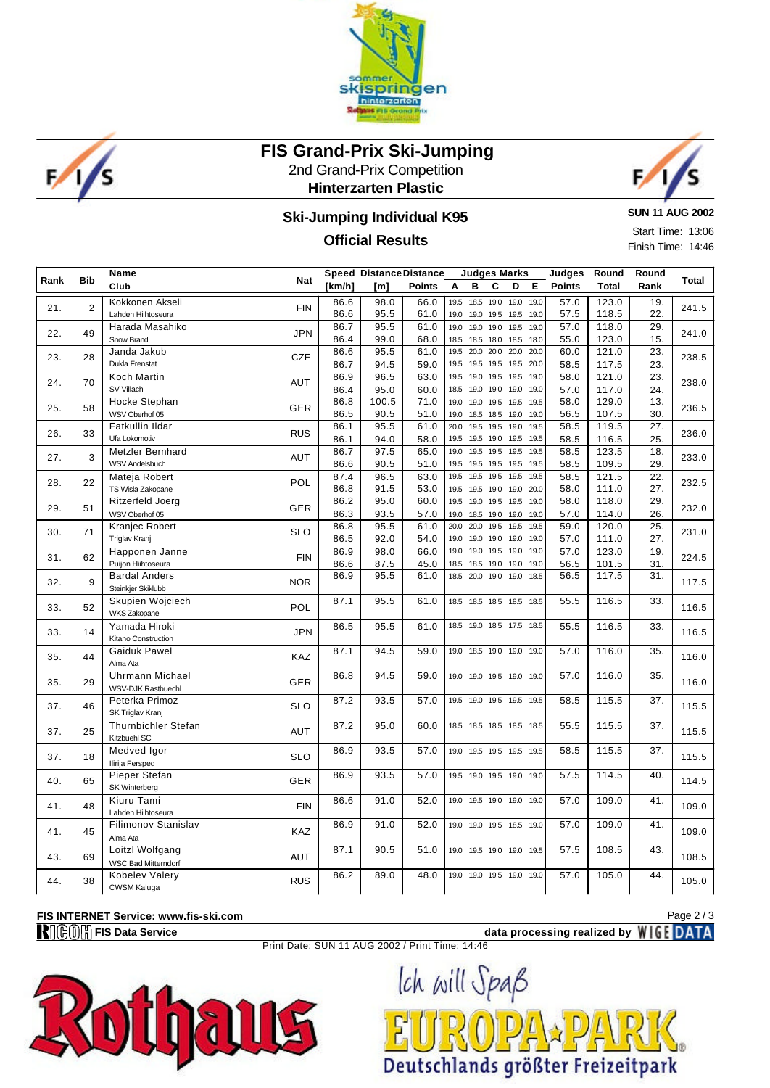



## **FIS Grand-Prix Ski-Jumping**

2nd Grand-Prix Competition **Hinterzarten Plastic**



### **Ski-Jumping Individual K95**

#### **Official Results**

**SUN 11 AUG 2002**

Start Time: 13:06 Finish Time: 14:46

| Rank | <b>Bib</b>     | Name<br>Club                                                | <b>Nat</b> | [km/h]       | <b>Speed Distance Distance</b> | <b>Points</b> | <b>Judges Marks</b><br>Е<br>A<br>в<br>C<br>D                           | Judges<br><b>Points</b> | Round<br><b>Total</b> | Round<br>Rank | Total |
|------|----------------|-------------------------------------------------------------|------------|--------------|--------------------------------|---------------|------------------------------------------------------------------------|-------------------------|-----------------------|---------------|-------|
|      |                |                                                             |            |              | [m]                            |               |                                                                        |                         |                       |               |       |
| 21.  | $\overline{2}$ | Kokkonen Akseli<br>Lahden Hiihtoseura                       | <b>FIN</b> | 86.6<br>86.6 | 98.0<br>95.5                   | 66.0<br>61.0  | 19.5<br>18.5<br>19.0<br>19.0 19.0<br>19.0<br>19.0 19.5 19.5 19.0       | 57.0<br>57.5            | 123.0<br>118.5        | 19.<br>22.    | 241.5 |
| 22.  | 49             | Harada Masahiko<br>Snow Brand                               | <b>JPN</b> | 86.7<br>86.4 | 95.5<br>99.0                   | 61.0<br>68.0  | 19.5 19.0<br>19.0<br>19.0 19.0<br>18.5<br>18.5 18.0<br>18.5 18.0       | 57.0<br>55.0            | 118.0<br>123.0        | 29.<br>15.    | 241.0 |
| 23.  | 28             | Janda Jakub<br>Dukla Frenstat                               | CZE        | 86.6         | 95.5                           | 61.0          | 20.0 20.0<br>20.0 20.0<br>19.5                                         | 60.0                    | 121.0                 | 23.           | 238.5 |
| 24.  | 70             | <b>Koch Martin</b>                                          | <b>AUT</b> | 86.7<br>86.9 | 94.5<br>96.5                   | 59.0<br>63.0  | 19.5<br>19.5 19.5<br>19.5 20.0<br>19.5<br>19.0<br>19.5<br>19.5 19.0    | 58.5<br>58.0            | 117.5<br>121.0        | 23.<br>23.    | 238.0 |
|      |                | SV Villach                                                  |            | 86.4         | 95.0                           | 60.0          | 18.5<br>19.0<br>19.0<br>19.0 19.0                                      | 57.0                    | 117.0                 | 24.           |       |
| 25.  | 58             | Hocke Stephan<br>WSV Oberhof 05                             | GER        | 86.8<br>86.5 | 100.5<br>90.5                  | 71.0<br>51.0  | 19.5 19.5 19.5<br>19.0<br>19.0<br>19.0<br>18.5 18.5<br>19.0 19.0       | 58.0<br>56.5            | 129.0<br>107.5        | 13.<br>30.    | 236.5 |
| 26.  | 33             | Fatkullin Ildar<br>Ufa Lokomotiv                            | <b>RUS</b> | 86.1<br>86.1 | 95.5<br>94.0                   | 61.0<br>58.0  | 20.0<br>19.5 19.5<br>19.0 19.5<br>19.5<br>19.5<br>19.0<br>19.5 19.5    | 58.5<br>58.5            | 119.5<br>116.5        | 27.<br>25.    | 236.0 |
| 27.  | 3              | <b>Metzler Bernhard</b><br><b>WSV Andelsbuch</b>            | <b>AUT</b> | 86.7         | 97.5                           | 65.0          | 19.0<br>19.5<br>19.5<br>19.5 19.5<br>19.5<br>19.5<br>19.5<br>19.5 19.5 | 58.5                    | 123.5<br>109.5        | 18.           | 233.0 |
|      |                | Mateja Robert                                               |            | 86.6<br>87.4 | 90.5<br>96.5                   | 51.0<br>63.0  | 19.5<br>19.5<br>19.5<br>19.5 19.5                                      | 58.5<br>58.5            | 121.5                 | 29.<br>22.    |       |
| 28.  | 22             | TS Wisla Zakopane                                           | <b>POL</b> | 86.8         | 91.5                           | 53.0          | 19.5<br>19.5 19.0<br>19.0 20.0                                         | 58.0                    | 111.0                 | 27.           | 232.5 |
| 29.  | 51             | Ritzerfeld Joerg<br>WSV Oberhof 05                          | GER        | 86.2<br>86.3 | 95.0<br>93.5                   | 60.0<br>57.0  | 19.5<br>19.0<br>19.5<br>19.5 19.0<br>19.0<br>18.5 19.0<br>19.0 19.0    | 58.0<br>57.0            | 118.0<br>114.0        | 29.<br>26.    | 232.0 |
|      | 71             | Kranjec Robert                                              | <b>SLO</b> | 86.8         | 95.5                           | 61.0          | 20.0<br>20.0<br>19.5<br>19.5<br>19.5                                   | 59.0                    | 120.0                 | 25.           | 231.0 |
| 30.  |                | <b>Triglav Kranj</b>                                        |            | 86.5         | 92.0                           | 54.0          | 19.0<br>19.0<br>19.0<br>19.0<br>19.0                                   | 57.0                    | 111.0                 | 27.           |       |
| 31.  | 62             | Happonen Janne<br>Puijon Hiihtoseura                        | <b>FIN</b> | 86.9<br>86.6 | 98.0<br>87.5                   | 66.0<br>45.0  | 19.0<br>19.0<br>19.5<br>19.0<br>19.0<br>18.5<br>18.5 19.0<br>19.0 19.0 | 57.0<br>56.5            | 123.0<br>101.5        | 19.<br>31.    | 224.5 |
| 32.  | 9              | <b>Bardal Anders</b><br>Steinkjer Skiklubb                  | <b>NOR</b> | 86.9         | 95.5                           | 61.0          | 20.0 19.0<br>18.5<br>19.0 18.5                                         | 56.5                    | 117.5                 | 31.           | 117.5 |
| 33.  | 52             | Skupien Wojciech<br><b>WKS Zakopane</b>                     | POL        | 87.1         | 95.5                           | 61.0          | 18.5 18.5 18.5 18.5<br>18.5                                            | 55.5                    | 116.5                 | 33.           | 116.5 |
| 33.  | 14             | Yamada Hiroki<br>Kitano Construction                        | <b>JPN</b> | 86.5         | 95.5                           | 61.0          | 18.5<br>19.0 18.5 17.5 18.5                                            | 55.5                    | 116.5                 | 33.           | 116.5 |
| 35.  | 44             | Gaiduk Pawel<br>Alma Ata                                    | KAZ        | 87.1         | 94.5                           | 59.0          | 19.0<br>18.5 19.0 19.0 19.0                                            | 57.0                    | 116.0                 | 35.           | 116.0 |
| 35.  | 29             | <b>Uhrmann Michael</b><br>WSV-DJK Rastbuechl                | <b>GER</b> | 86.8         | 94.5                           | 59.0          | 19.0<br>19.0 19.5 19.0 19.0                                            | 57.0                    | 116.0                 | 35.           | 116.0 |
| 37.  | 46             | Peterka Primoz<br>SK Triglav Kranj                          | <b>SLO</b> | 87.2         | 93.5                           | 57.0          | 19.0<br>19.5 19.5 19.5<br>19.5                                         | 58.5                    | 115.5                 | 37.           | 115.5 |
| 37.  | 25             | <b>Thurnbichler Stefan</b><br>Kitzbuehl SC                  | AUT        | 87.2         | 95.0                           | 60.0          | 18.5<br>18.5 18.5 18.5 18.5                                            | 55.5                    | 115.5                 | 37.           | 115.5 |
| 37.  | 18             | Medved Igor                                                 | <b>SLO</b> | 86.9         | 93.5                           | 57.0          | 19.5 19.5 19.5 19.5<br>19.0                                            | 58.5                    | 115.5                 | 37.           | 115.5 |
| 40.  | 65             | Ilirija Fersped<br>Pieper Stefan<br>SK Winterberg           | <b>GER</b> | 86.9         | 93.5                           | 57.0          | 19.5 19.0 19.5 19.0 19.0                                               | 57.5                    | 114.5                 | 40.           | 114.5 |
| 41.  | 48             | Kiuru Tami                                                  | <b>FIN</b> | 86.6         | 91.0                           | 52.0          | 19.0<br>19.5 19.0 19.0 19.0                                            | 57.0                    | 109.0                 | 41.           | 109.0 |
| 41.  | 45             | Lahden Hiihtoseura<br>Filimonov Stanislav                   | KAZ        | 86.9         | 91.0                           | 52.0          | 19.0 19.5 18.5 19.0<br>19.0                                            | 57.0                    | 109.0                 | 41.           | 109.0 |
| 43.  | 69             | Alma Ata<br>Loitzl Wolfgang                                 | AUT        | 87.1         | 90.5                           | 51.0          | 19.0<br>19.5 19.0 19.0 19.5                                            | 57.5                    | 108.5                 | 43.           | 108.5 |
| 44.  | 38             | <b>WSC Bad Mitterndorf</b><br>Kobelev Valery<br>CWSM Kaluga | <b>RUS</b> | 86.2         | 89.0                           | 48.0          | 19.0 19.0 19.5 19.0 19.0                                               | 57.0                    | 105.0                 | 44.           | 105.0 |
|      |                |                                                             |            |              |                                |               |                                                                        |                         |                       |               |       |

# **FIS INTERNET Service: www.fis-ski.com**<br>**R**III( $\bigcirc$ III)<sup>1</sup>/<sub>11</sub> FIS Data Service

Page 2 / 3

data processing realized by **WIGE DATA** Print Date: SUN 11 AUG 2002 / Print Time: 14:46

Deutschlands größter Freizeitpark

 $D/L$ 

Ich will Spaß